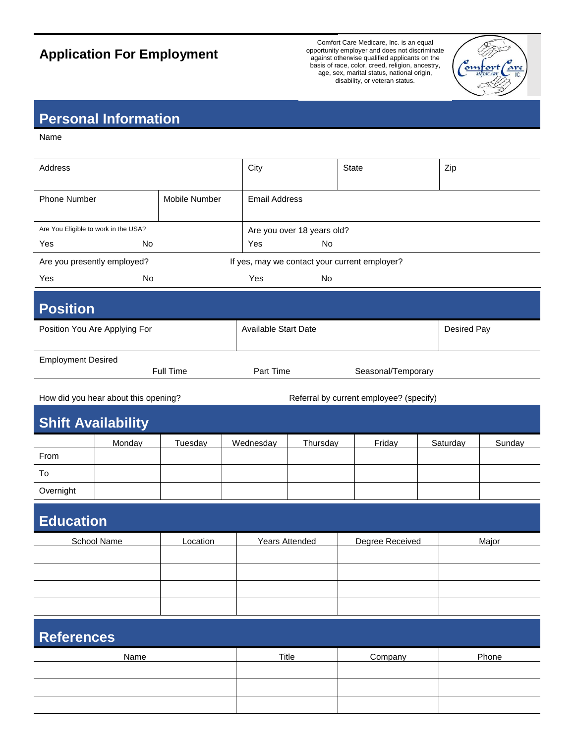## **Application For Employment**

Comfort Care Medicare, Inc. is an equal opportunity employer and does not discriminate against otherwise qualified applicants on the basis of race, color, creed, religion, ancestry, age, sex, marital status, national origin, disability, or veteran status.



## **Personal Information**

Name

| Address                              |                                        |               | City                  |                                         | State                                         |  | Zip         |        |  |
|--------------------------------------|----------------------------------------|---------------|-----------------------|-----------------------------------------|-----------------------------------------------|--|-------------|--------|--|
| <b>Phone Number</b>                  |                                        | Mobile Number | <b>Email Address</b>  |                                         |                                               |  |             |        |  |
| Are You Eligible to work in the USA? |                                        |               |                       | Are you over 18 years old?              |                                               |  |             |        |  |
| Yes                                  | No.                                    |               | Yes                   | <b>No</b>                               |                                               |  |             |        |  |
|                                      | Are you presently employed?            |               |                       |                                         | If yes, may we contact your current employer? |  |             |        |  |
| Yes                                  | No                                     |               | Yes                   | <b>No</b>                               |                                               |  |             |        |  |
| <b>Position</b>                      |                                        |               |                       |                                         |                                               |  |             |        |  |
| Position You Are Applying For        |                                        |               |                       | <b>Available Start Date</b>             |                                               |  | Desired Pay |        |  |
|                                      | <b>Employment Desired</b><br>Full Time |               |                       | Part Time<br>Seasonal/Temporary         |                                               |  |             |        |  |
|                                      | How did you hear about this opening?   |               |                       | Referral by current employee? (specify) |                                               |  |             |        |  |
|                                      | <b>Shift Availability</b>              |               |                       |                                         |                                               |  |             |        |  |
|                                      | Monday                                 | Tuesday       | Wednesday             | Thursday                                | Friday                                        |  | Saturday    | Sunday |  |
| From                                 |                                        |               |                       |                                         |                                               |  |             |        |  |
| To                                   |                                        |               |                       |                                         |                                               |  |             |        |  |
| Overnight                            |                                        |               |                       |                                         |                                               |  |             |        |  |
| <b>Education</b>                     |                                        |               |                       |                                         |                                               |  |             |        |  |
| <b>School Name</b>                   |                                        | Location      | <b>Years Attended</b> |                                         | Degree Received                               |  | Major       |        |  |
|                                      |                                        |               |                       |                                         |                                               |  |             |        |  |
|                                      |                                        |               |                       |                                         |                                               |  |             |        |  |
|                                      |                                        |               |                       |                                         |                                               |  |             |        |  |
|                                      |                                        |               |                       |                                         |                                               |  |             |        |  |
|                                      |                                        |               |                       |                                         |                                               |  |             |        |  |
| <b>References</b>                    |                                        |               |                       |                                         |                                               |  |             |        |  |

Name **Name Title Company Phone**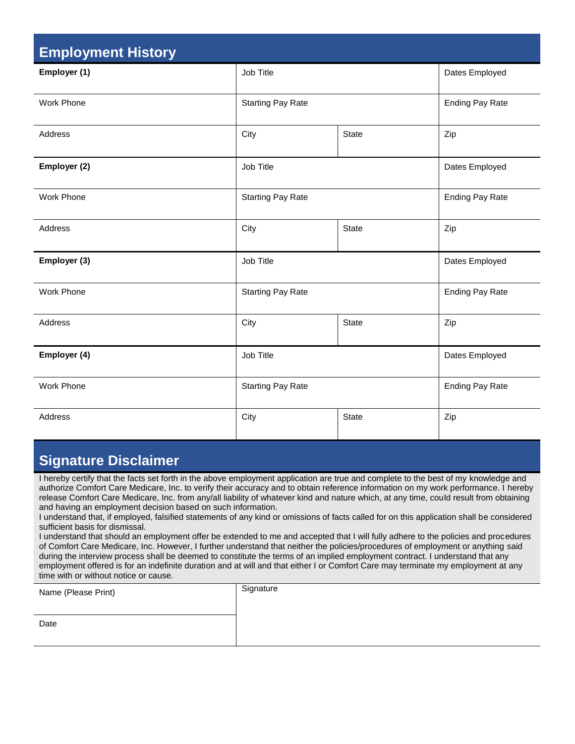| <b>Employment History</b> |                          |                        |                        |  |  |  |  |
|---------------------------|--------------------------|------------------------|------------------------|--|--|--|--|
| Employer (1)              | Job Title                |                        | Dates Employed         |  |  |  |  |
| Work Phone                | <b>Starting Pay Rate</b> | <b>Ending Pay Rate</b> |                        |  |  |  |  |
| Address                   | City<br><b>State</b>     |                        | Zip                    |  |  |  |  |
| Employer (2)              | Job Title                | Dates Employed         |                        |  |  |  |  |
| Work Phone                | <b>Starting Pay Rate</b> |                        | <b>Ending Pay Rate</b> |  |  |  |  |
| Address                   | City                     | <b>State</b>           | Zip                    |  |  |  |  |
| Employer (3)              | Job Title                |                        | Dates Employed         |  |  |  |  |
| Work Phone                | <b>Starting Pay Rate</b> | <b>Ending Pay Rate</b> |                        |  |  |  |  |
| Address                   | City                     | <b>State</b>           |                        |  |  |  |  |
| Employer (4)              | Job Title                | Dates Employed         |                        |  |  |  |  |
| <b>Work Phone</b>         | <b>Starting Pay Rate</b> | <b>Ending Pay Rate</b> |                        |  |  |  |  |
| Address                   | City                     | <b>State</b>           | Zip                    |  |  |  |  |

## **Signature Disclaimer**

I hereby certify that the facts set forth in the above employment application are true and complete to the best of my knowledge and authorize Comfort Care Medicare, Inc. to verify their accuracy and to obtain reference information on my work performance. I hereby release Comfort Care Medicare, Inc. from any/all liability of whatever kind and nature which, at any time, could result from obtaining and having an employment decision based on such information.

I understand that, if employed, falsified statements of any kind or omissions of facts called for on this application shall be considered sufficient basis for dismissal.

I understand that should an employment offer be extended to me and accepted that I will fully adhere to the policies and procedures of Comfort Care Medicare, Inc. However, I further understand that neither the policies/procedures of employment or anything said during the interview process shall be deemed to constitute the terms of an implied employment contract. I understand that any employment offered is for an indefinite duration and at will and that either I or Comfort Care may terminate my employment at any time with or without notice or cause.

| Name (Please Print) | Signature |
|---------------------|-----------|
|                     |           |
| Date                |           |
|                     |           |
|                     |           |